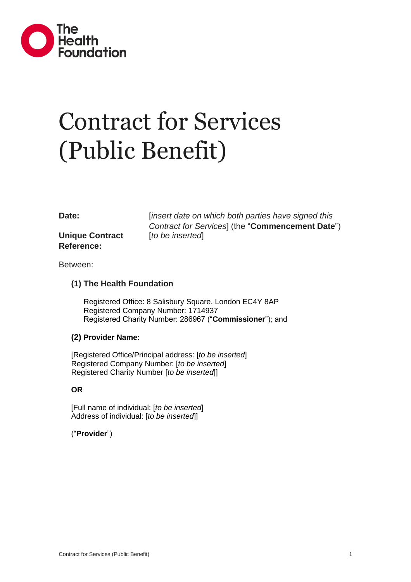

# Contract for Services (Public Benefit)

**Unique Contract Reference:**

**Date:** *linsert date on which both parties have signed this Contract for Services*] (the "**Commencement Date**") [*to be inserted*]

Between:

#### **(1) The Health Foundation**

Registered Office: 8 Salisbury Square, London EC4Y 8AP Registered Company Number: 1714937 Registered Charity Number: 286967 ("**Commissioner**"); and

#### **(2) Provider Name:**

[Registered Office/Principal address: [*to be inserted*] Registered Company Number: [*to be inserted*] Registered Charity Number [*to be inserted*]]

#### **OR**

[Full name of individual: [*to be inserted*] Address of individual: [*to be inserted*]]

#### ("**Provider**")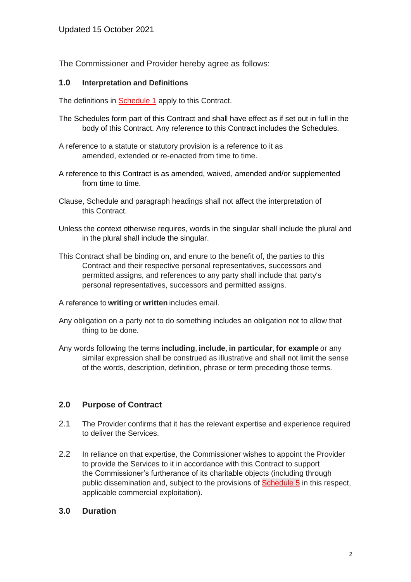The Commissioner and Provider hereby agree as follows:

#### **1.0 Interpretation and Definitions**

The definitions in **[Schedule 1](#page-13-0)** apply to this Contract.

- The Schedules form part of this Contract and shall have effect as if set out in full in the body of this Contract. Any reference to this Contract includes the Schedules.
- A reference to a statute or statutory provision is a reference to it as amended, extended or re-enacted from time to time.
- A reference to this Contract is as amended, waived, amended and/or supplemented from time to time.
- Clause, Schedule and paragraph headings shall not affect the interpretation of this Contract.
- Unless the context otherwise requires, words in the singular shall include the plural and in the plural shall include the singular.
- This Contract shall be binding on, and enure to the benefit of, the parties to this Contract and their respective personal representatives, successors and permitted assigns, and references to any party shall include that party's personal representatives, successors and permitted assigns.
- A reference to **writing** or **written** includes email.
- Any obligation on a party not to do something includes an obligation not to allow that thing to be done.
- Any words following the terms **including**, **include**, **in particular**, **for example** or any similar expression shall be construed as illustrative and shall not limit the sense of the words, description, definition, phrase or term preceding those terms.

#### **2.0 Purpose of Contract**

- 2.1 The Provider confirms that it has the relevant expertise and experience required to deliver the Services.
- 2.2 In reliance on that expertise, the Commissioner wishes to appoint the Provider to provide the Services to it in accordance with this Contract to support the Commissioner's furtherance of its charitable objects (including through public dissemination and, subject to the provisions of [Schedule](#page-20-0) 5 in this respect, applicable commercial exploitation).

#### **3.0 Duration**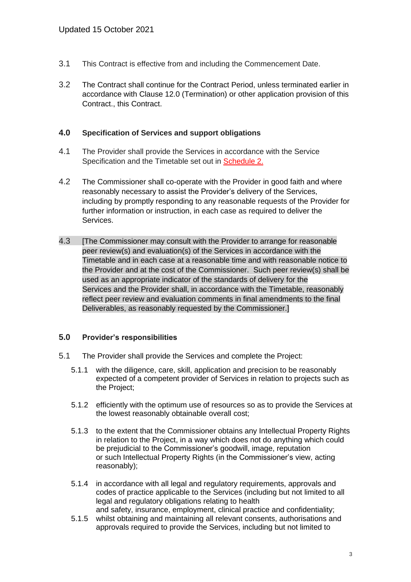- 3.1 This Contract is effective from and including the Commencement Date.
- 3.2 The Contract shall continue for the Contract Period, unless terminated earlier in accordance with Clause 12.0 (Termination) or other application provision of this Contract., this Contract.

#### **4.0 Specification of Services and support obligations**

- 4.1 The Provider shall provide the Services in accordance with the Service Specification and the Timetable set out in [Schedule 2.](#page-17-0)
- 4.2 The Commissioner shall co-operate with the Provider in good faith and where reasonably necessary to assist the Provider's delivery of the Services, including by promptly responding to any reasonable requests of the Provider for further information or instruction, in each case as required to deliver the Services.
- 4.3 **IThe Commissioner may consult with the Provider to arrange for reasonable** peer review(s) and evaluation(s) of the Services in accordance with the Timetable and in each case at a reasonable time and with reasonable notice to the Provider and at the cost of the Commissioner. Such peer review(s) shall be used as an appropriate indicator of the standards of delivery for the Services and the Provider shall, in accordance with the Timetable, reasonably reflect peer review and evaluation comments in final amendments to the final Deliverables, as reasonably requested by the Commissioner.]

#### **5.0 Provider's responsibilities**

- 5.1 The Provider shall provide the Services and complete the Project:
	- 5.1.1 with the diligence, care, skill, application and precision to be reasonably expected of a competent provider of Services in relation to projects such as the Project;
	- 5.1.2 efficiently with the optimum use of resources so as to provide the Services at the lowest reasonably obtainable overall cost;
	- 5.1.3 to the extent that the Commissioner obtains any Intellectual Property Rights in relation to the Project, in a way which does not do anything which could be prejudicial to the Commissioner's goodwill, image, reputation or such Intellectual Property Rights (in the Commissioner's view, acting reasonably);
	- 5.1.4 in accordance with all legal and regulatory requirements, approvals and codes of practice applicable to the Services (including but not limited to all legal and regulatory obligations relating to health and safety, insurance, employment, clinical practice and confidentiality;
	- 5.1.5 whilst obtaining and maintaining all relevant consents, authorisations and approvals required to provide the Services, including but not limited to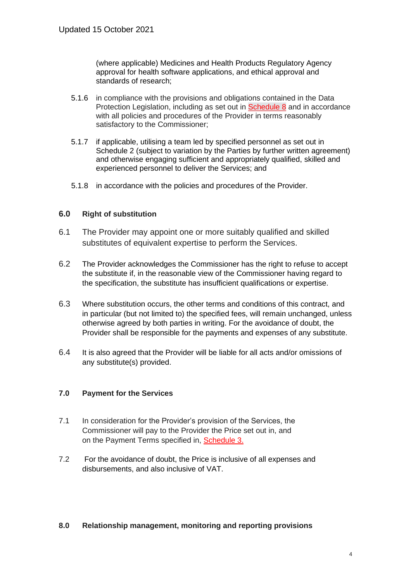(where applicable) Medicines and Health Products Regulatory Agency approval for health software applications, and ethical approval and standards of research;

- 5.1.6 in compliance with the provisions and obligations contained in the Data Protection Legislation, including as set out in **[Schedule 8](#page-23-0)** and in accordance with all policies and procedures of the Provider in terms reasonably satisfactory to the Commissioner;
- 5.1.7 if applicable, utilising a team led by specified personnel as set out in Schedule 2 (subject to variation by the Parties by further written agreement) and otherwise engaging sufficient and appropriately qualified, skilled and experienced personnel to deliver the Services; and
- 5.1.8 in accordance with the policies and procedures of the Provider.

#### **6.0 Right of substitution**

- 6.1 The Provider may appoint one or more suitably qualified and skilled substitutes of equivalent expertise to perform the Services.
- 6.2 The Provider acknowledges the Commissioner has the right to refuse to accept the substitute if, in the reasonable view of the Commissioner having regard to the specification, the substitute has insufficient qualifications or expertise.
- 6.3 Where substitution occurs, the other terms and conditions of this contract, and in particular (but not limited to) the specified fees, will remain unchanged, unless otherwise agreed by both parties in writing. For the avoidance of doubt, the Provider shall be responsible for the payments and expenses of any substitute.
- 6.4 It is also agreed that the Provider will be liable for all acts and/or omissions of any substitute(s) provided.

#### **7.0 Payment for the Services**

- 7.1 In consideration for the Provider's provision of the Services, the Commissioner will pay to the Provider the Price set out in, and on the Payment Terms specified in, [Schedule 3.](#page-18-0)
- 7.2 For the avoidance of doubt, the Price is inclusive of all expenses and disbursements, and also inclusive of VAT.

#### **8.0 Relationship management, monitoring and reporting provisions**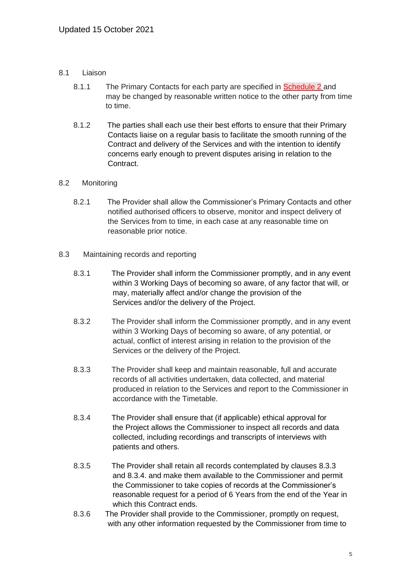#### 8.1 Liaison

- 8.1.1 The Primary Contacts for each party are specified in [Schedule 2](#page-17-0) and may be changed by reasonable written notice to the other party from time to time.
- 8.1.2 The parties shall each use their best efforts to ensure that their Primary Contacts liaise on a regular basis to facilitate the smooth running of the Contract and delivery of the Services and with the intention to identify concerns early enough to prevent disputes arising in relation to the Contract.

#### 8.2 Monitoring

- 8.2.1 The Provider shall allow the Commissioner's Primary Contacts and other notified authorised officers to observe, monitor and inspect delivery of the Services from to time, in each case at any reasonable time on reasonable prior notice.
- 8.3 Maintaining records and reporting
	- 8.3.1 The Provider shall inform the Commissioner promptly, and in any event within 3 Working Days of becoming so aware, of any factor that will, or may, materially affect and/or change the provision of the Services and/or the delivery of the Project.
	- 8.3.2 The Provider shall inform the Commissioner promptly, and in any event within 3 Working Days of becoming so aware, of any potential, or actual, conflict of interest arising in relation to the provision of the Services or the delivery of the Project.
	- 8.3.3 The Provider shall keep and maintain reasonable, full and accurate records of all activities undertaken, data collected, and material produced in relation to the Services and report to the Commissioner in accordance with the Timetable.
	- 8.3.4 The Provider shall ensure that (if applicable) ethical approval for the Project allows the Commissioner to inspect all records and data collected, including recordings and transcripts of interviews with patients and others.
	- 8.3.5 The Provider shall retain all records contemplated by clauses 8.3.3 and 8.3.4. and make them available to the Commissioner and permit the Commissioner to take copies of records at the Commissioner's reasonable request for a period of 6 Years from the end of the Year in which this Contract ends.
	- 8.3.6 The Provider shall provide to the Commissioner, promptly on request, with any other information requested by the Commissioner from time to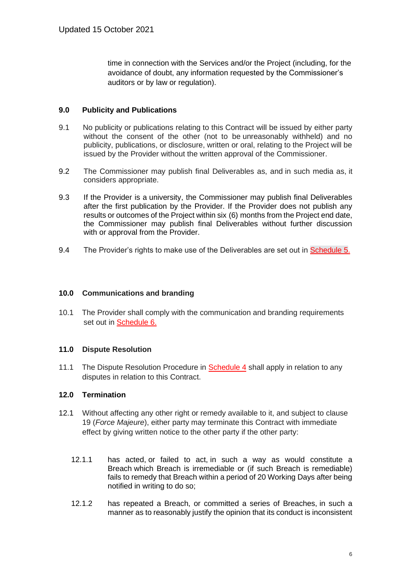time in connection with the Services and/or the Project (including, for the avoidance of doubt, any information requested by the Commissioner's auditors or by law or regulation).

#### **9.0 Publicity and Publications**

- 9.1 No publicity or publications relating to this Contract will be issued by either party without the consent of the other (not to be unreasonably withheld) and no publicity, publications, or disclosure, written or oral, relating to the Project will be issued by the Provider without the written approval of the Commissioner.
- 9.2 The Commissioner may publish final Deliverables as, and in such media as, it considers appropriate.
- 9.3 If the Provider is a university, the Commissioner may publish final Deliverables after the first publication by the Provider. If the Provider does not publish any results or outcomes of the Project within six (6) months from the Project end date, the Commissioner may publish final Deliverables without further discussion with or approval from the Provider.
- 9.4 The Provider's rights to make use of the Deliverables are set out in [Schedule 5.](#page-20-0)

#### **10.0 Communications and branding**

10.1 The Provider shall comply with the communication and branding requirements set out in [Schedule 6.](#page-20-1)

#### **11.0 Dispute Resolution**

11.1 The Dispute Resolution Procedure in [Schedule 4](#page-19-0) shall apply in relation to any disputes in relation to this Contract.

#### **12.0 Termination**

- 12.1 Without affecting any other right or remedy available to it, and subject to clause 19 (*Force Majeure*), either party may terminate this Contract with immediate effect by giving written notice to the other party if the other party:
	- 12.1.1 has acted, or failed to act, in such a way as would constitute a Breach which Breach is irremediable or (if such Breach is remediable) fails to remedy that Breach within a period of 20 Working Days after being notified in writing to do so;
	- 12.1.2 has repeated a Breach, or committed a series of Breaches, in such a manner as to reasonably justify the opinion that its conduct is inconsistent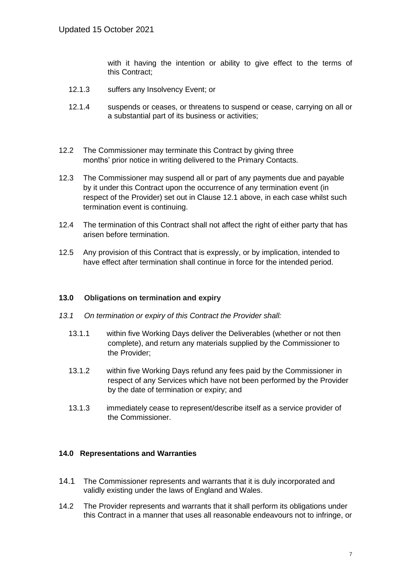with it having the intention or ability to give effect to the terms of this Contract;

- 12.1.3 suffers any Insolvency Event; or
- 12.1.4 suspends or ceases, or threatens to suspend or cease, carrying on all or a substantial part of its business or activities;
- 12.2 The Commissioner may terminate this Contract by giving three months' prior notice in writing delivered to the Primary Contacts.
- 12.3 The Commissioner may suspend all or part of any payments due and payable by it under this Contract upon the occurrence of any termination event (in respect of the Provider) set out in Clause 12.1 above, in each case whilst such termination event is continuing.
- 12.4 The termination of this Contract shall not affect the right of either party that has arisen before termination.
- 12.5 Any provision of this Contract that is expressly, or by implication, intended to have effect after termination shall continue in force for the intended period.

#### **13.0 Obligations on termination and expiry**

- *13.1 On termination or expiry of this Contract the Provider shall:*
	- 13.1.1 within five Working Days deliver the Deliverables (whether or not then complete), and return any materials supplied by the Commissioner to the Provider;
	- 13.1.2 within five Working Days refund any fees paid by the Commissioner in respect of any Services which have not been performed by the Provider by the date of termination or expiry; and
	- 13.1.3 immediately cease to represent/describe itself as a service provider of the Commissioner.

#### **14.0 Representations and Warranties**

- 14.1 The Commissioner represents and warrants that it is duly incorporated and validly existing under the laws of England and Wales.
- 14.2 The Provider represents and warrants that it shall perform its obligations under this Contract in a manner that uses all reasonable endeavours not to infringe, or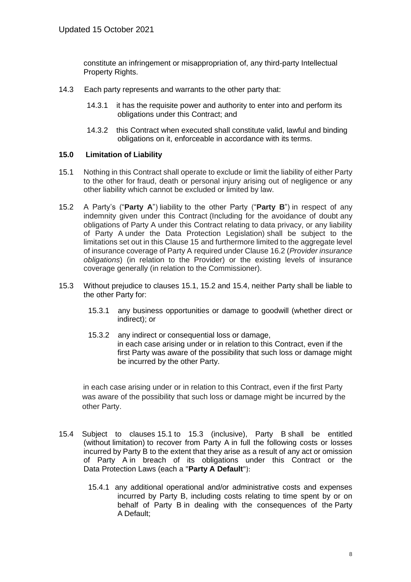constitute an infringement or misappropriation of, any third-party Intellectual Property Rights.

- 14.3 Each party represents and warrants to the other party that:
	- 14.3.1 it has the requisite power and authority to enter into and perform its obligations under this Contract; and
	- 14.3.2 this Contract when executed shall constitute valid, lawful and binding obligations on it, enforceable in accordance with its terms.

#### **15.0 Limitation of Liability**

- 15.1 Nothing in this Contract shall operate to exclude or limit the liability of either Party to the other for fraud, death or personal injury arising out of negligence or any other liability which cannot be excluded or limited by law.
- 15.2 A Party's ("**Party A**") liability to the other Party ("**Party B**") in respect of any indemnity given under this Contract (Including for the avoidance of doubt any obligations of Party A under this Contract relating to data privacy, or any liability of Party A under the Data Protection Legislation) shall be subject to the limitations set out in this Clause 15 and furthermore limited to the aggregate level of insurance coverage of Party A required under Clause 16.2 (*Provider insurance obligations*) (in relation to the Provider) or the existing levels of insurance coverage generally (in relation to the Commissioner).
- 15.3 Without prejudice to clauses 15.1, 15.2 and 15.4, neither Party shall be liable to the other Party for:
	- 15.3.1 any business opportunities or damage to goodwill (whether direct or indirect); or
	- 15.3.2 any indirect or consequential loss or damage, in each case arising under or in relation to this Contract, even if the first Party was aware of the possibility that such loss or damage might be incurred by the other Party.

in each case arising under or in relation to this Contract, even if the first Party was aware of the possibility that such loss or damage might be incurred by the other Party.

- 15.4 Subject to clauses 15.1 to 15.3 (inclusive), Party B shall be entitled (without limitation) to recover from Party A in full the following costs or losses incurred by Party B to the extent that they arise as a result of any act or omission of Party A in breach of its obligations under this Contract or the Data Protection Laws (each a "**Party A Default**"):
	- 15.4.1 any additional operational and/or administrative costs and expenses incurred by Party B, including costs relating to time spent by or on behalf of Party B in dealing with the consequences of the Party A Default;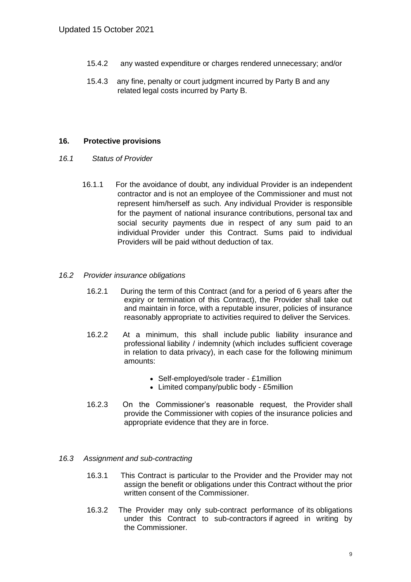- 15.4.2 any wasted expenditure or charges rendered unnecessary; and/or
- 15.4.3 any fine, penalty or court judgment incurred by Party B and any related legal costs incurred by Party B.

#### **16. Protective provisions**

- *16.1 Status of Provider*
	- 16.1.1 For the avoidance of doubt, any individual Provider is an independent contractor and is not an employee of the Commissioner and must not represent him/herself as such. Any individual Provider is responsible for the payment of national insurance contributions, personal tax and social security payments due in respect of any sum paid to an individual Provider under this Contract. Sums paid to individual Providers will be paid without deduction of tax.

#### *16.2 Provider insurance obligations*

- 16.2.1 During the term of this Contract (and for a period of 6 years after the expiry or termination of this Contract), the Provider shall take out and maintain in force, with a reputable insurer, policies of insurance reasonably appropriate to activities required to deliver the Services.
- 16.2.2 At a minimum, this shall include public liability insurance and professional liability / indemnity (which includes sufficient coverage in relation to data privacy), in each case for the following minimum amounts:
	- Self-employed/sole trader £1million
	- Limited company/public body £5million
- 16.2.3 On the Commissioner's reasonable request, the Provider shall provide the Commissioner with copies of the insurance policies and appropriate evidence that they are in force.

#### *16.3 Assignment and sub-contracting*

- 16.3.1 This Contract is particular to the Provider and the Provider may not assign the benefit or obligations under this Contract without the prior written consent of the Commissioner.
- 16.3.2 The Provider may only sub-contract performance of its obligations under this Contract to sub-contractors if agreed in writing by the Commissioner.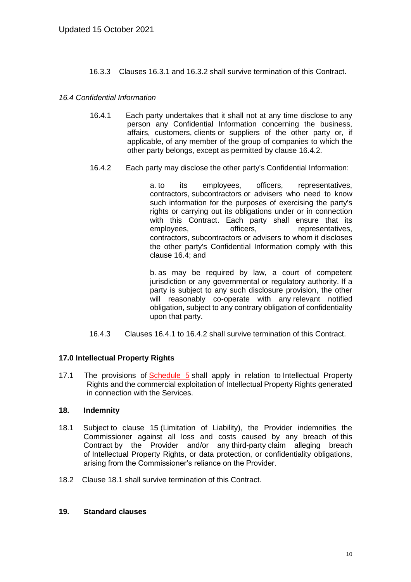16.3.3 Clauses 16.3.1 and 16.3.2 shall survive termination of this Contract.

#### *16.4 Confidential Information*

- 16.4.1 Each party undertakes that it shall not at any time disclose to any person any Confidential Information concerning the business, affairs, customers, clients or suppliers of the other party or, if applicable, of any member of the group of companies to which the other party belongs, except as permitted by clause 16.4.2.
- 16.4.2 Each party may disclose the other party's Confidential Information:

a. to its employees, officers, representatives, contractors, subcontractors or advisers who need to know such information for the purposes of exercising the party's rights or carrying out its obligations under or in connection with this Contract. Each party shall ensure that its employees, employees, officers, representatives, contractors, subcontractors or advisers to whom it discloses the other party's Confidential Information comply with this clause 16.4; and

b. as may be required by law, a court of competent jurisdiction or any governmental or regulatory authority. If a party is subject to any such disclosure provision, the other will reasonably co-operate with any relevant notified obligation, subject to any contrary obligation of confidentiality upon that party.

16.4.3 Clauses 16.4.1 to 16.4.2 shall survive termination of this Contract.

#### **17.0 Intellectual Property Rights**

17.1 The provisions of [Schedule 5](#page-20-0) shall apply in relation to Intellectual Property Rights and the commercial exploitation of Intellectual Property Rights generated in connection with the Services.

#### **18. Indemnity**

- 18.1 Subject to clause 15 (Limitation of Liability), the Provider indemnifies the Commissioner against all loss and costs caused by any breach of this Contract by the Provider and/or any third-party claim alleging breach of Intellectual Property Rights, or data protection, or confidentiality obligations, arising from the Commissioner's reliance on the Provider.
- 18.2 Clause 18.1 shall survive termination of this Contract.

#### **19. Standard clauses**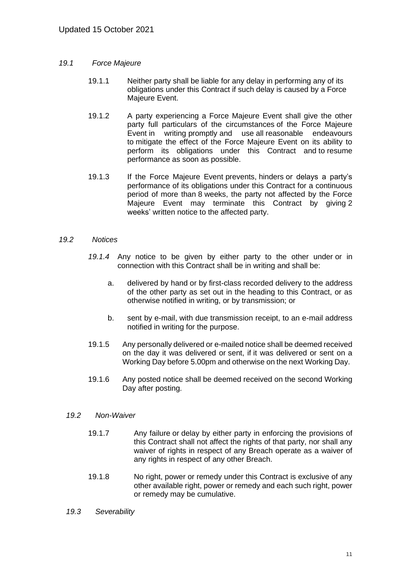#### *19.1 Force Majeure*

- 19.1.1 Neither party shall be liable for any delay in performing any of its obligations under this Contract if such delay is caused by a Force Majeure Event.
- 19.1.2 A party experiencing a Force Majeure Event shall give the other party full particulars of the circumstances of the Force Majeure Event in writing promptly and use all reasonable endeavours to mitigate the effect of the Force Majeure Event on its ability to perform its obligations under this Contract and to resume performance as soon as possible.
- 19.1.3 If the Force Majeure Event prevents, hinders or delays a party's performance of its obligations under this Contract for a continuous period of more than 8 weeks, the party not affected by the Force Majeure Event may terminate this Contract by giving 2 weeks' written notice to the affected party.

#### *19.2 Notices*

- *19.1.4* Any notice to be given by either party to the other under or in connection with this Contract shall be in writing and shall be:
	- a. delivered by hand or by first-class recorded delivery to the address of the other party as set out in the heading to this Contract, or as otherwise notified in writing, or by transmission; or
	- b. sent by e-mail, with due transmission receipt, to an e-mail address notified in writing for the purpose.
- 19.1.5 Any personally delivered or e-mailed notice shall be deemed received on the day it was delivered or sent, if it was delivered or sent on a Working Day before 5.00pm and otherwise on the next Working Day.
- 19.1.6 Any posted notice shall be deemed received on the second Working Day after posting.

#### *19.2 Non-Waiver*

- 19.1.7 Any failure or delay by either party in enforcing the provisions of this Contract shall not affect the rights of that party, nor shall any waiver of rights in respect of any Breach operate as a waiver of any rights in respect of any other Breach.
- 19.1.8 No right, power or remedy under this Contract is exclusive of any other available right, power or remedy and each such right, power or remedy may be cumulative.
- *19.3 Severability*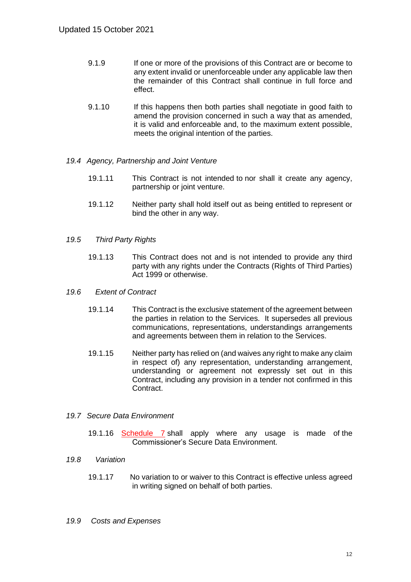- 9.1.9 If one or more of the provisions of this Contract are or become to any extent invalid or unenforceable under any applicable law then the remainder of this Contract shall continue in full force and effect.
- 9.1.10 If this happens then both parties shall negotiate in good faith to amend the provision concerned in such a way that as amended, it is valid and enforceable and, to the maximum extent possible, meets the original intention of the parties.
- *19.4 Agency, Partnership and Joint Venture*
	- 19.1.11 This Contract is not intended to nor shall it create any agency, partnership or joint venture.
	- 19.1.12 Neither party shall hold itself out as being entitled to represent or bind the other in any way.
- *19.5 Third Party Rights*
	- 19.1.13 This Contract does not and is not intended to provide any third party with any rights under the Contracts (Rights of Third Parties) Act 1999 or otherwise.

#### *19.6 Extent of Contract*

- 19.1.14 This Contract is the exclusive statement of the agreement between the parties in relation to the Services. It supersedes all previous communications, representations, understandings arrangements and agreements between them in relation to the Services.
- 19.1.15 Neither party has relied on (and waives any right to make any claim in respect of) any representation, understanding arrangement, understanding or agreement not expressly set out in this Contract, including any provision in a tender not confirmed in this Contract.

#### *19.7 Secure Data Environment*

19.1.16 [Schedule 7](#page-21-0) shall apply where any usage is made of the Commissioner's Secure Data Environment.

#### *19.8 Variation*

19.1.17 No variation to or waiver to this Contract is effective unless agreed in writing signed on behalf of both parties.

#### *19.9 Costs and Expenses*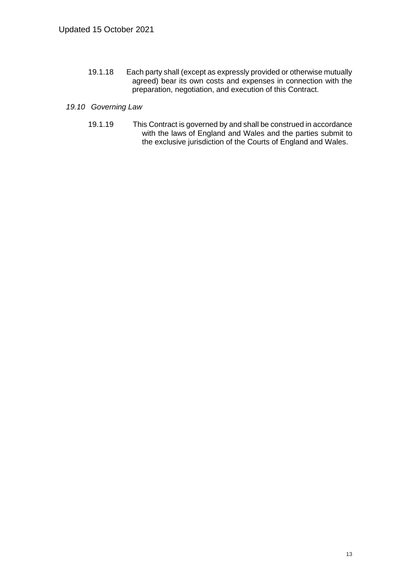19.1.18 Each party shall (except as expressly provided or otherwise mutually agreed) bear its own costs and expenses in connection with the preparation, negotiation, and execution of this Contract.

#### *19.10 Governing Law*

19.1.19 This Contract is governed by and shall be construed in accordance with the laws of England and Wales and the parties submit to the exclusive jurisdiction of the Courts of England and Wales.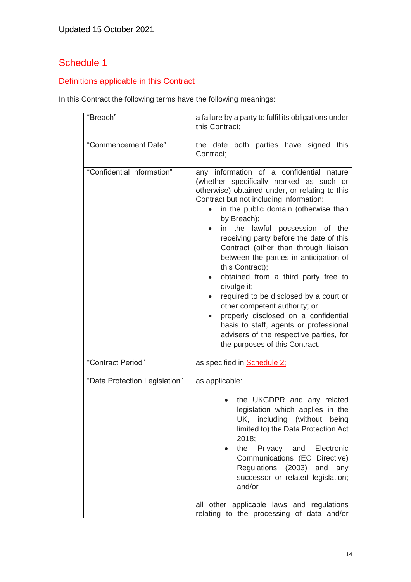## <span id="page-13-0"></span>Definitions applicable in this Contract

In this Contract the following terms have the following meanings:

| "Breach"                      | a failure by a party to fulfil its obligations under<br>this Contract:                                                                                                                                                                                                                                                                                                                                                                                                                                                                                                                                                                                                                                                                        |
|-------------------------------|-----------------------------------------------------------------------------------------------------------------------------------------------------------------------------------------------------------------------------------------------------------------------------------------------------------------------------------------------------------------------------------------------------------------------------------------------------------------------------------------------------------------------------------------------------------------------------------------------------------------------------------------------------------------------------------------------------------------------------------------------|
| "Commencement Date"           | the date both parties have signed this<br>Contract;                                                                                                                                                                                                                                                                                                                                                                                                                                                                                                                                                                                                                                                                                           |
| "Confidential Information"    | any information of a confidential nature<br>(whether specifically marked as such or<br>otherwise) obtained under, or relating to this<br>Contract but not including information:<br>in the public domain (otherwise than<br>by Breach);<br>the lawful<br>possession of the<br>in<br>$\bullet$<br>receiving party before the date of this<br>Contract (other than through liaison<br>between the parties in anticipation of<br>this Contract);<br>obtained from a third party free to<br>divulge it;<br>required to be disclosed by a court or<br>other competent authority; or<br>properly disclosed on a confidential<br>basis to staff, agents or professional<br>advisers of the respective parties, for<br>the purposes of this Contract. |
| "Contract Period"             | as specified in <b>Schedule 2;</b>                                                                                                                                                                                                                                                                                                                                                                                                                                                                                                                                                                                                                                                                                                            |
| "Data Protection Legislation" | as applicable:                                                                                                                                                                                                                                                                                                                                                                                                                                                                                                                                                                                                                                                                                                                                |
|                               | the UKGDPR and any related<br>legislation which applies in the<br>UK, including (without being<br>limited to) the Data Protection Act<br>2018;<br>and<br>Electronic<br>the<br>Privacy<br>Communications (EC Directive)<br>Regulations (2003) and<br>any<br>successor or related legislation;<br>and/or                                                                                                                                                                                                                                                                                                                                                                                                                                        |
|                               | all other applicable laws and regulations<br>relating to the processing of data and/or                                                                                                                                                                                                                                                                                                                                                                                                                                                                                                                                                                                                                                                        |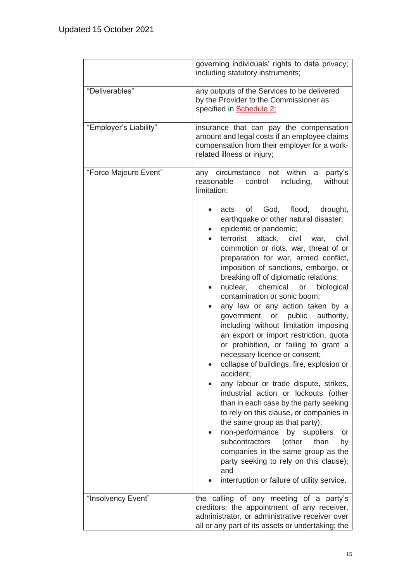|                        | governing individuals' rights to data privacy;<br>including statutory instruments;                                                                                                                                                                                                                                                                                                                                                                                                                                                                                                                                                                                                                                                                                                                                                                                                                                                                                                                                                                                                                                                                                                                                                                                       |  |  |
|------------------------|--------------------------------------------------------------------------------------------------------------------------------------------------------------------------------------------------------------------------------------------------------------------------------------------------------------------------------------------------------------------------------------------------------------------------------------------------------------------------------------------------------------------------------------------------------------------------------------------------------------------------------------------------------------------------------------------------------------------------------------------------------------------------------------------------------------------------------------------------------------------------------------------------------------------------------------------------------------------------------------------------------------------------------------------------------------------------------------------------------------------------------------------------------------------------------------------------------------------------------------------------------------------------|--|--|
| "Deliverables"         | any outputs of the Services to be delivered<br>by the Provider to the Commissioner as<br>specified in <b>Schedule 2;</b>                                                                                                                                                                                                                                                                                                                                                                                                                                                                                                                                                                                                                                                                                                                                                                                                                                                                                                                                                                                                                                                                                                                                                 |  |  |
| "Employer's Liability" | insurance that can pay the compensation<br>amount and legal costs if an employee claims<br>compensation from their employer for a work-<br>related illness or injury;                                                                                                                                                                                                                                                                                                                                                                                                                                                                                                                                                                                                                                                                                                                                                                                                                                                                                                                                                                                                                                                                                                    |  |  |
| "Force Majeure Event"  | any circumstance not within a<br>party's<br>without<br>reasonable<br>including,<br>control<br>limitation:<br>God, flood,<br>of l<br>drought,<br>acts<br>earthquake or other natural disaster;<br>epidemic or pandemic;<br>terrorist<br>attack, civil<br>war,<br>civil<br>commotion or riots, war, threat of or<br>preparation for war, armed conflict,<br>imposition of sanctions, embargo, or<br>breaking off of diplomatic relations;<br>nuclear,<br>chemical<br>biological<br>or<br>$\bullet$<br>contamination or sonic boom;<br>any law or any action taken by a<br>government<br>public<br>authority,<br>or<br>including without limitation imposing<br>an export or import restriction, quota<br>or prohibition, or failing to grant a<br>necessary licence or consent;<br>collapse of buildings, fire, explosion or<br>accident;<br>any labour or trade dispute, strikes,<br>industrial action or lockouts (other<br>than in each case by the party seeking<br>to rely on this clause, or companies in<br>the same group as that party);<br>non-performance<br>by suppliers<br>or<br>subcontractors<br>(other<br>than<br>by<br>companies in the same group as the<br>party seeking to rely on this clause);<br>and<br>interruption or failure of utility service. |  |  |
| "Insolvency Event"     | the calling of any meeting of a party's<br>creditors; the appointment of any receiver,<br>administrator, or administrative receiver over<br>all or any part of its assets or undertaking; the                                                                                                                                                                                                                                                                                                                                                                                                                                                                                                                                                                                                                                                                                                                                                                                                                                                                                                                                                                                                                                                                            |  |  |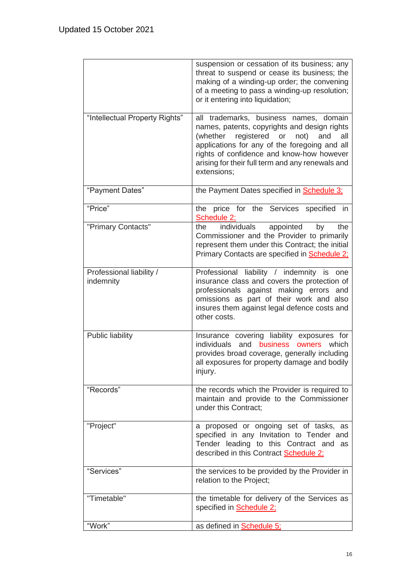|                                       | suspension or cessation of its business; any<br>threat to suspend or cease its business; the<br>making of a winding-up order; the convening<br>of a meeting to pass a winding-up resolution;<br>or it entering into liquidation;                                                                        |
|---------------------------------------|---------------------------------------------------------------------------------------------------------------------------------------------------------------------------------------------------------------------------------------------------------------------------------------------------------|
| "Intellectual Property Rights"        | all trademarks, business names, domain<br>names, patents, copyrights and design rights<br>(whether registered or<br>not)<br>and<br>all<br>applications for any of the foregoing and all<br>rights of confidence and know-how however<br>arising for their full term and any renewals and<br>extensions; |
| "Payment Dates"                       | the Payment Dates specified in <b>Schedule 3:</b>                                                                                                                                                                                                                                                       |
| "Price"                               | the price for the Services specified in<br>Schedule 2:                                                                                                                                                                                                                                                  |
| "Primary Contacts"                    | individuals appointed<br>the<br>the<br>by<br>Commissioner and the Provider to primarily<br>represent them under this Contract; the initial<br>Primary Contacts are specified in Schedule 2;                                                                                                             |
| Professional liability /<br>indemnity | Professional liability / indemnity is one<br>insurance class and covers the protection of<br>professionals against making errors<br>and<br>omissions as part of their work and also<br>insures them against legal defence costs and<br>other costs.                                                     |
| Public liability                      | Insurance covering liability exposures for<br>individuals and business<br>owners<br>which<br>provides broad coverage, generally including<br>all exposures for property damage and bodily<br>injury.                                                                                                    |
| "Records"                             | the records which the Provider is required to<br>maintain and provide to the Commissioner<br>under this Contract;                                                                                                                                                                                       |
| "Project"                             | a proposed or ongoing set of tasks, as<br>specified in any Invitation to Tender and<br>Tender leading to this Contract and as<br>described in this Contract Schedule 2;                                                                                                                                 |
| "Services"                            | the services to be provided by the Provider in<br>relation to the Project;                                                                                                                                                                                                                              |
| "Timetable"                           | the timetable for delivery of the Services as<br>specified in <b>Schedule 2;</b>                                                                                                                                                                                                                        |
| "Work"                                | as defined in <b>Schedule 5:</b>                                                                                                                                                                                                                                                                        |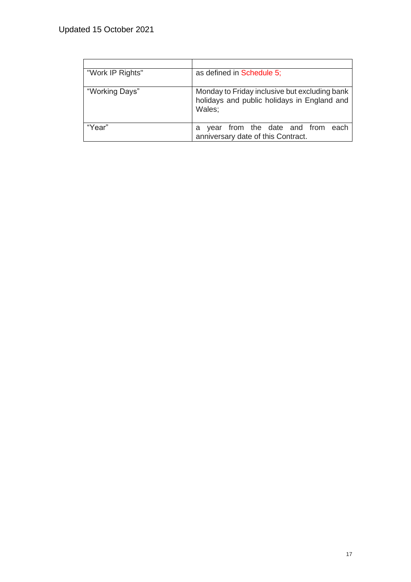| "Work IP Rights" | as defined in Schedule 5;                                                                              |  |
|------------------|--------------------------------------------------------------------------------------------------------|--|
| "Working Days"   | Monday to Friday inclusive but excluding bank<br>holidays and public holidays in England and<br>Wales: |  |
| "Year"           | from the date and from<br>each<br>vear<br>а<br>anniversary date of this Contract.                      |  |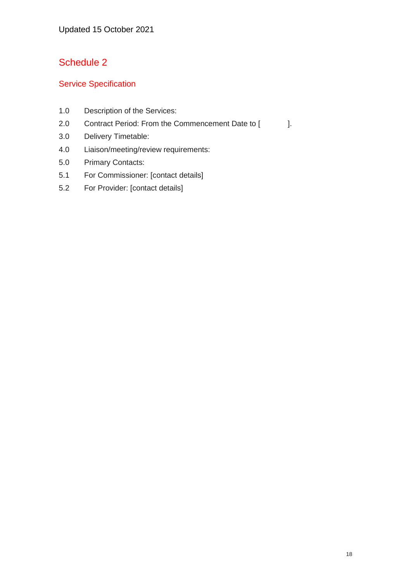### <span id="page-17-0"></span>Service Specification

- 1.0 Description of the Services:
- 2.0 Contract Period: From the Commencement Date to [ ].
- 3.0 Delivery Timetable:
- 4.0 Liaison/meeting/review requirements:
- 5.0 Primary Contacts:
- 5.1 For Commissioner: [contact details]
- 5.2 For Provider: [contact details]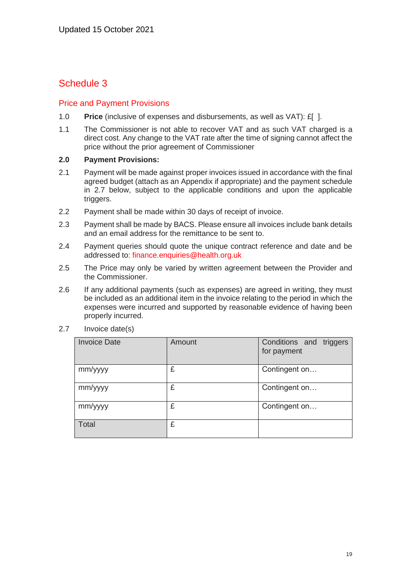#### <span id="page-18-0"></span>Price and Payment Provisions

- 1.0 **Price** (inclusive of expenses and disbursements, as well as VAT): £[ ].
- 1.1 The Commissioner is not able to recover VAT and as such VAT charged is a direct cost. Any change to the VAT rate after the time of signing cannot affect the price without the prior agreement of Commissioner

#### **2.0 Payment Provisions:**

- 2.1 Payment will be made against proper invoices issued in accordance with the final agreed budget (attach as an Appendix if appropriate) and the payment schedule in 2.7 below, subject to the applicable conditions and upon the applicable triggers.
- 2.2 Payment shall be made within 30 days of receipt of invoice.
- 2.3 Payment shall be made by BACS. Please ensure all invoices include bank details and an email address for the remittance to be sent to.
- 2.4 Payment queries should quote the unique contract reference and date and be addressed to: [finance.enquiries@health.org.uk](mailto:finance.enquiries@health.org.uk)
- 2.5 The Price may only be varied by written agreement between the Provider and the Commissioner.
- 2.6 If any additional payments (such as expenses) are agreed in writing, they must be included as an additional item in the invoice relating to the period in which the expenses were incurred and supported by reasonable evidence of having been properly incurred.

| <b>Invoice Date</b> | Amount | Conditions and triggers<br>for payment |
|---------------------|--------|----------------------------------------|
| mm/yyyy             | £      | Contingent on                          |
| mm/yyyy             | £      | Contingent on                          |
| mm/yyyy             | £      | Contingent on                          |
| <b>Total</b>        | £      |                                        |

2.7 Invoice date(s)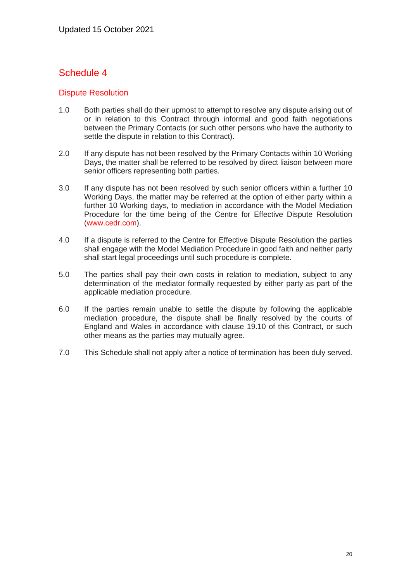#### <span id="page-19-0"></span>Dispute Resolution

- 1.0 Both parties shall do their upmost to attempt to resolve any dispute arising out of or in relation to this Contract through informal and good faith negotiations between the Primary Contacts (or such other persons who have the authority to settle the dispute in relation to this Contract).
- 2.0 If any dispute has not been resolved by the Primary Contacts within 10 Working Days, the matter shall be referred to be resolved by direct liaison between more senior officers representing both parties.
- 3.0 If any dispute has not been resolved by such senior officers within a further 10 Working Days, the matter may be referred at the option of either party within a further 10 Working days, to mediation in accordance with the Model Mediation Procedure for the time being of the Centre for Effective Dispute Resolution [\(www.cedr.com\)](http://www.cedr.com/).
- 4.0 If a dispute is referred to the Centre for Effective Dispute Resolution the parties shall engage with the Model Mediation Procedure in good faith and neither party shall start legal proceedings until such procedure is complete.
- 5.0 The parties shall pay their own costs in relation to mediation, subject to any determination of the mediator formally requested by either party as part of the applicable mediation procedure.
- 6.0 If the parties remain unable to settle the dispute by following the applicable mediation procedure, the dispute shall be finally resolved by the courts of England and Wales in accordance with clause 19.10 of this Contract, or such other means as the parties may mutually agree.
- 7.0 This Schedule shall not apply after a notice of termination has been duly served.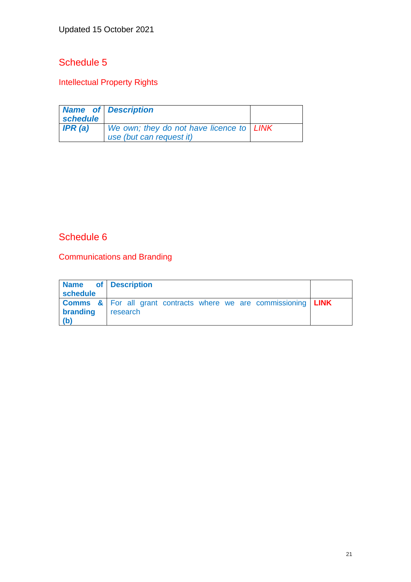## <span id="page-20-0"></span>Intellectual Property Rights

| schedule | <b>Name of Description</b>                                             |  |
|----------|------------------------------------------------------------------------|--|
| IPR(a)   | We own; they do not have licence to   LINK<br>use (but can request it) |  |
|          |                                                                        |  |

## <span id="page-20-1"></span>Schedule 6

Communications and Branding

| Name of Description<br>schedule |                                                                                   |  |
|---------------------------------|-----------------------------------------------------------------------------------|--|
|                                 | <b>Comms &amp;</b> For all grant contracts where we are commissioning <b>LINK</b> |  |
| branding                        | research                                                                          |  |
| (b)                             |                                                                                   |  |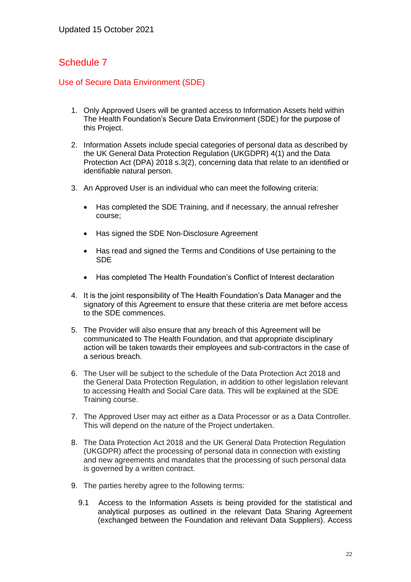#### <span id="page-21-0"></span>Use of Secure Data Environment (SDE)

- 1. Only Approved Users will be granted access to Information Assets held within The Health Foundation's Secure Data Environment (SDE) for the purpose of this Project.
- 2. Information Assets include special categories of personal data as described by the UK General Data Protection Regulation (UKGDPR) 4(1) and the Data Protection Act (DPA) 2018 s.3(2), concerning data that relate to an identified or identifiable natural person.
- 3. An Approved User is an individual who can meet the following criteria:
	- Has completed the SDE Training, and if necessary, the annual refresher course;
	- Has signed the SDE Non-Disclosure Agreement
	- Has read and signed the Terms and Conditions of Use pertaining to the SDE
	- Has completed The Health Foundation's Conflict of Interest declaration
- 4. It is the joint responsibility of The Health Foundation's Data Manager and the signatory of this Agreement to ensure that these criteria are met before access to the SDE commences.
- 5. The Provider will also ensure that any breach of this Agreement will be communicated to The Health Foundation, and that appropriate disciplinary action will be taken towards their employees and sub-contractors in the case of a serious breach.
- 6. The User will be subject to the schedule of the Data Protection Act 2018 and the General Data Protection Regulation, in addition to other legislation relevant to accessing Health and Social Care data. This will be explained at the SDE Training course.
- 7. The Approved User may act either as a Data Processor or as a Data Controller. This will depend on the nature of the Project undertaken.
- 8. The Data Protection Act 2018 and the UK General Data Protection Regulation (UKGDPR) affect the processing of personal data in connection with existing and new agreements and mandates that the processing of such personal data is governed by a written contract.
- 9. The parties hereby agree to the following terms:
	- 9.1 Access to the Information Assets is being provided for the statistical and analytical purposes as outlined in the relevant Data Sharing Agreement (exchanged between the Foundation and relevant Data Suppliers). Access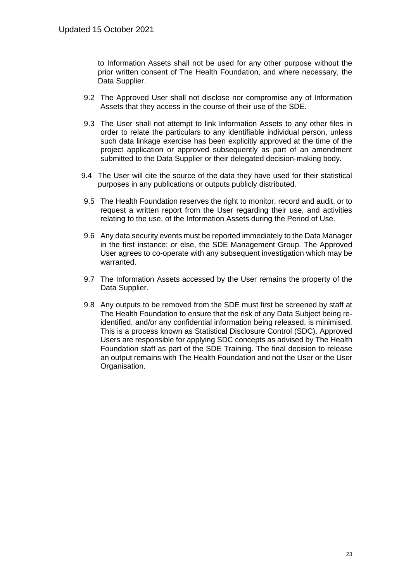to Information Assets shall not be used for any other purpose without the prior written consent of The Health Foundation, and where necessary, the Data Supplier.

- 9.2 The Approved User shall not disclose nor compromise any of Information Assets that they access in the course of their use of the SDE.
- 9.3 The User shall not attempt to link Information Assets to any other files in order to relate the particulars to any identifiable individual person, unless such data linkage exercise has been explicitly approved at the time of the project application or approved subsequently as part of an amendment submitted to the Data Supplier or their delegated decision-making body.
- 9.4 The User will cite the source of the data they have used for their statistical purposes in any publications or outputs publicly distributed.
- 9.5 The Health Foundation reserves the right to monitor, record and audit, or to request a written report from the User regarding their use, and activities relating to the use, of the Information Assets during the Period of Use.
- 9.6 Any data security events must be reported immediately to the Data Manager in the first instance; or else, the SDE Management Group. The Approved User agrees to co-operate with any subsequent investigation which may be warranted.
- 9.7 The Information Assets accessed by the User remains the property of the Data Supplier.
- 9.8 Any outputs to be removed from the SDE must first be screened by staff at The Health Foundation to ensure that the risk of any Data Subject being reidentified, and/or any confidential information being released, is minimised. This is a process known as Statistical Disclosure Control (SDC). Approved Users are responsible for applying SDC concepts as advised by The Health Foundation staff as part of the SDE Training. The final decision to release an output remains with The Health Foundation and not the User or the User Organisation.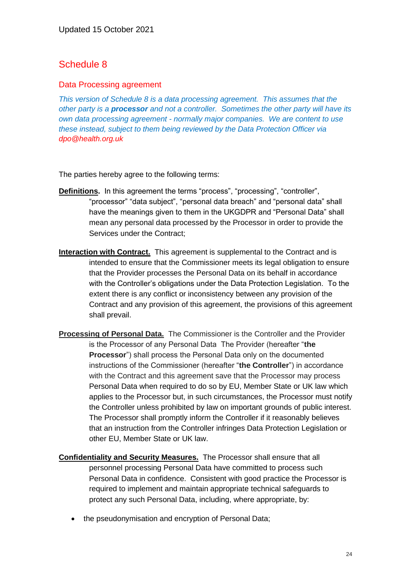#### <span id="page-23-0"></span>Data Processing agreement

*This version of Schedule 8 is a data processing agreement. This assumes that the other party is a processor and not a controller. Sometimes the other party will have its own data processing agreement - normally major companies. We are content to use these instead, subject to them being reviewed by the Data Protection Officer via [dpo@health.org.uk](mailto:dpo@health.org.uk)*

The parties hereby agree to the following terms:

- **Definitions.** In this agreement the terms "process", "processing", "controller", "processor" "data subject", "personal data breach" and "personal data" shall have the meanings given to them in the UKGDPR and "Personal Data" shall mean any personal data processed by the Processor in order to provide the Services under the Contract;
- **Interaction with Contract.** This agreement is supplemental to the Contract and is intended to ensure that the Commissioner meets its legal obligation to ensure that the Provider processes the Personal Data on its behalf in accordance with the Controller's obligations under the Data Protection Legislation. To the extent there is any conflict or inconsistency between any provision of the Contract and any provision of this agreement, the provisions of this agreement shall prevail.
- **Processing of Personal Data.** The Commissioner is the Controller and the Provider is the Processor of any Personal Data The Provider (hereafter "**the Processor**") shall process the Personal Data only on the documented instructions of the Commissioner (hereafter "**the Controller**") in accordance with the Contract and this agreement save that the Processor may process Personal Data when required to do so by EU, Member State or UK law which applies to the Processor but, in such circumstances, the Processor must notify the Controller unless prohibited by law on important grounds of public interest. The Processor shall promptly inform the Controller if it reasonably believes that an instruction from the Controller infringes Data Protection Legislation or other EU, Member State or UK law.
- **Confidentiality and Security Measures.** The Processor shall ensure that all personnel processing Personal Data have committed to process such Personal Data in confidence. Consistent with good practice the Processor is required to implement and maintain appropriate technical safeguards to protect any such Personal Data, including, where appropriate, by:
	- the pseudonymisation and encryption of Personal Data;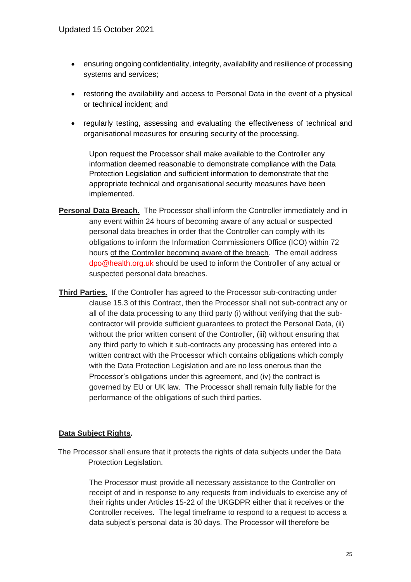- ensuring ongoing confidentiality, integrity, availability and resilience of processing systems and services;
- restoring the availability and access to Personal Data in the event of a physical or technical incident; and
- regularly testing, assessing and evaluating the effectiveness of technical and organisational measures for ensuring security of the processing.

Upon request the Processor shall make available to the Controller any information deemed reasonable to demonstrate compliance with the Data Protection Legislation and sufficient information to demonstrate that the appropriate technical and organisational security measures have been implemented.

- **Personal Data Breach.** The Processor shall inform the Controller immediately and in any event within 24 hours of becoming aware of any actual or suspected personal data breaches in order that the Controller can comply with its obligations to inform the Information Commissioners Office (ICO) within 72 hours of the Controller becoming aware of the breach. The email address [dpo@health.org.uk](mailto:dpo@health.org.uk) should be used to inform the Controller of any actual or suspected personal data breaches.
- **Third Parties.** If the Controller has agreed to the Processor sub-contracting under clause 15.3 of this Contract, then the Processor shall not sub-contract any or all of the data processing to any third party (i) without verifying that the subcontractor will provide sufficient guarantees to protect the Personal Data, (ii) without the prior written consent of the Controller, (iii) without ensuring that any third party to which it sub-contracts any processing has entered into a written contract with the Processor which contains obligations which comply with the Data Protection Legislation and are no less onerous than the Processor's obligations under this agreement, and (iv) the contract is governed by EU or UK law. The Processor shall remain fully liable for the performance of the obligations of such third parties.

#### **Data Subject Rights.**

The Processor shall ensure that it protects the rights of data subjects under the Data Protection Legislation.

> The Processor must provide all necessary assistance to the Controller on receipt of and in response to any requests from individuals to exercise any of their rights under Articles 15-22 of the UKGDPR either that it receives or the Controller receives. The legal timeframe to respond to a request to access a data subject's personal data is 30 days. The Processor will therefore be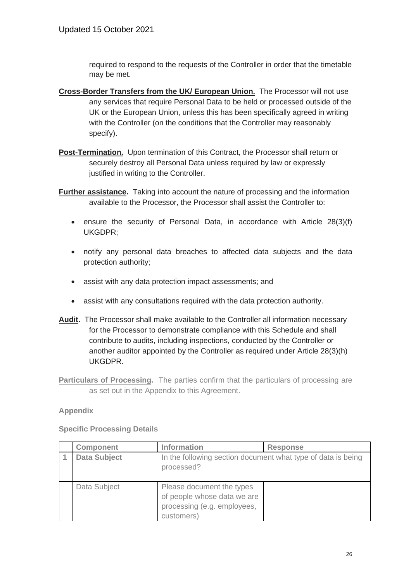required to respond to the requests of the Controller in order that the timetable may be met.

- **Cross-Border Transfers from the UK/ European Union.** The Processor will not use any services that require Personal Data to be held or processed outside of the UK or the European Union, unless this has been specifically agreed in writing with the Controller (on the conditions that the Controller may reasonably specify).
- **Post-Termination.** Upon termination of this Contract, the Processor shall return or securely destroy all Personal Data unless required by law or expressly justified in writing to the Controller.
- **Further assistance.** Taking into account the nature of processing and the information available to the Processor, the Processor shall assist the Controller to:
	- ensure the security of Personal Data, in accordance with Article 28(3)(f) UKGDPR;
	- notify any personal data breaches to affected data subjects and the data protection authority;
	- assist with any data protection impact assessments; and
	- assist with any consultations required with the data protection authority.
- **Audit.** The Processor shall make available to the Controller all information necessary for the Processor to demonstrate compliance with this Schedule and shall contribute to audits, including inspections, conducted by the Controller or another auditor appointed by the Controller as required under Article 28(3)(h) UKGDPR.
- **Particulars of Processing.** The parties confirm that the particulars of processing are as set out in the Appendix to this Agreement.

#### **Appendix**

| <b>Component</b>    | <b>Information</b>                                                                                    | <b>Response</b> |
|---------------------|-------------------------------------------------------------------------------------------------------|-----------------|
| <b>Data Subject</b> | In the following section document what type of data is being<br>processed?                            |                 |
| Data Subject        | Please document the types<br>of people whose data we are<br>processing (e.g. employees,<br>customers) |                 |

**Specific Processing Details**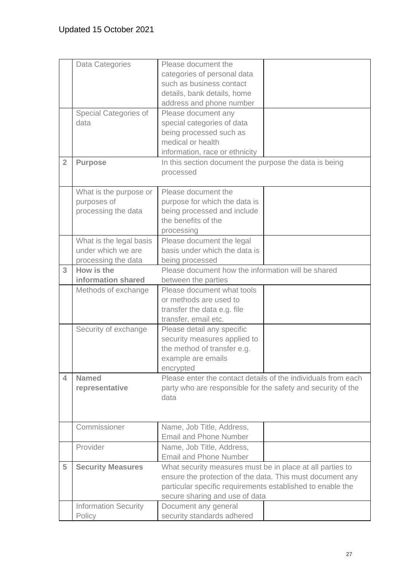|                | Data Categories             | Please document the                                           |  |
|----------------|-----------------------------|---------------------------------------------------------------|--|
|                |                             | categories of personal data                                   |  |
|                |                             | such as business contact                                      |  |
|                |                             | details, bank details, home                                   |  |
|                |                             | address and phone number                                      |  |
|                | Special Categories of       | Please document any                                           |  |
|                | data                        | special categories of data                                    |  |
|                |                             | being processed such as                                       |  |
|                |                             | medical or health                                             |  |
|                |                             | information, race or ethnicity                                |  |
|                |                             |                                                               |  |
| $\overline{2}$ | <b>Purpose</b>              | In this section document the purpose the data is being        |  |
|                |                             | processed                                                     |  |
|                |                             |                                                               |  |
|                | What is the purpose or      | Please document the                                           |  |
|                | purposes of                 | purpose for which the data is                                 |  |
|                | processing the data         | being processed and include                                   |  |
|                |                             | the benefits of the                                           |  |
|                |                             | processing                                                    |  |
|                | What is the legal basis     | Please document the legal                                     |  |
|                | under which we are          | basis under which the data is                                 |  |
|                | processing the data         | being processed                                               |  |
| 3              | How is the                  | Please document how the information will be shared            |  |
|                | information shared          | between the parties                                           |  |
|                | Methods of exchange         | Please document what tools                                    |  |
|                |                             | or methods are used to                                        |  |
|                |                             | transfer the data e.g. file                                   |  |
|                |                             | transfer, email etc.                                          |  |
|                | Security of exchange        | Please detail any specific                                    |  |
|                |                             | security measures applied to                                  |  |
|                |                             | the method of transfer e.g.                                   |  |
|                |                             |                                                               |  |
|                |                             | example are emails                                            |  |
|                |                             | encrypted                                                     |  |
| 4              | <b>Named</b>                | Please enter the contact details of the individuals from each |  |
|                | representative              | party who are responsible for the safety and security of the  |  |
|                |                             | data                                                          |  |
|                |                             |                                                               |  |
|                |                             |                                                               |  |
|                | Commissioner                | Name, Job Title, Address,                                     |  |
|                |                             | <b>Email and Phone Number</b>                                 |  |
|                | Provider                    | Name, Job Title, Address,                                     |  |
|                |                             | <b>Email and Phone Number</b>                                 |  |
| 5              | <b>Security Measures</b>    | What security measures must be in place at all parties to     |  |
|                |                             | ensure the protection of the data. This must document any     |  |
|                |                             | particular specific requirements established to enable the    |  |
|                |                             | secure sharing and use of data                                |  |
|                | <b>Information Security</b> | Document any general                                          |  |
|                | Policy                      | security standards adhered                                    |  |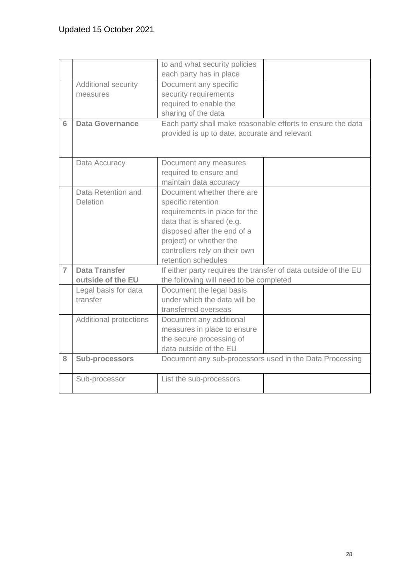|                |                        | to and what security policies                                   |  |
|----------------|------------------------|-----------------------------------------------------------------|--|
|                |                        | each party has in place                                         |  |
|                | Additional security    | Document any specific                                           |  |
|                | measures               | security requirements                                           |  |
|                |                        | required to enable the                                          |  |
|                |                        | sharing of the data                                             |  |
| 6              | <b>Data Governance</b> | Each party shall make reasonable efforts to ensure the data     |  |
|                |                        | provided is up to date, accurate and relevant                   |  |
|                |                        |                                                                 |  |
|                |                        |                                                                 |  |
|                | Data Accuracy          | Document any measures                                           |  |
|                |                        | required to ensure and                                          |  |
|                |                        | maintain data accuracy                                          |  |
|                | Data Retention and     | Document whether there are                                      |  |
|                | <b>Deletion</b>        | specific retention                                              |  |
|                |                        | requirements in place for the                                   |  |
|                |                        | data that is shared (e.g.                                       |  |
|                |                        | disposed after the end of a                                     |  |
|                |                        | project) or whether the                                         |  |
|                |                        | controllers rely on their own                                   |  |
|                |                        | retention schedules                                             |  |
| $\overline{7}$ | <b>Data Transfer</b>   | If either party requires the transfer of data outside of the EU |  |
|                | outside of the EU      | the following will need to be completed                         |  |
|                | Legal basis for data   | Document the legal basis                                        |  |
|                | transfer               | under which the data will be                                    |  |
|                |                        | transferred overseas                                            |  |
|                | Additional protections | Document any additional                                         |  |
|                |                        | measures in place to ensure                                     |  |
|                |                        | the secure processing of                                        |  |
|                |                        | data outside of the EU                                          |  |
| 8              | <b>Sub-processors</b>  | Document any sub-processors used in the Data Processing         |  |
|                |                        |                                                                 |  |
|                | Sub-processor          | List the sub-processors                                         |  |
|                |                        |                                                                 |  |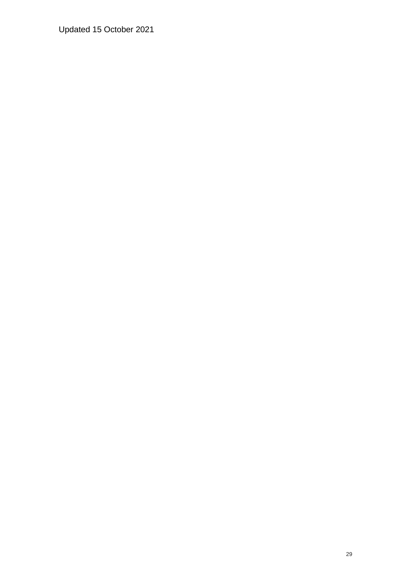Updated 15 October 2021